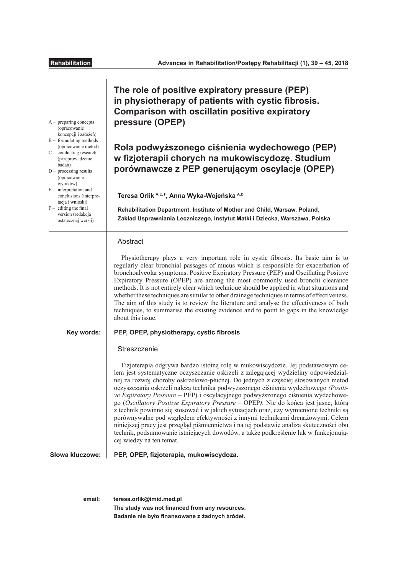| $A-$ preparing concepts<br>(opracowanie<br>koncepcji i założeń)<br>$B -$ formulating methods<br>(opracowanie metod)<br>$C -$ conducting research<br>(przeprowadzenie<br>badań)<br>$D -$ processing results<br>(opracowanie<br>wyników)<br>$E$ – interpretation and<br>conclusions (interpre-<br>tacja i wnioski)<br>$F -$ editing the final<br>version (redakcja<br>ostatecznej wersji) | The role of positive expiratory pressure (PEP)<br>in physiotherapy of patients with cystic fibrosis.<br><b>Comparison with oscillatin positive expiratory</b><br>pressure (OPEP)<br>Rola podwyższonego ciśnienia wydechowego (PEP)<br>w fizjoterapii chorych na mukowiscydozę. Studium<br>porównawcze z PEP generującym oscylacje (OPEP)<br>Teresa Orlik A,E, F, Anna Wyka-Wojeńska A,D<br>Rehabilitation Department, Institute of Mother and Child, Warsaw, Poland,<br>Zakład Usprawniania Leczniczego, Instytut Matki i Dziecka, Warszawa, Polska                                                                                                                                                                                                                                                                                                                                                                                                                                |
|-----------------------------------------------------------------------------------------------------------------------------------------------------------------------------------------------------------------------------------------------------------------------------------------------------------------------------------------------------------------------------------------|------------------------------------------------------------------------------------------------------------------------------------------------------------------------------------------------------------------------------------------------------------------------------------------------------------------------------------------------------------------------------------------------------------------------------------------------------------------------------------------------------------------------------------------------------------------------------------------------------------------------------------------------------------------------------------------------------------------------------------------------------------------------------------------------------------------------------------------------------------------------------------------------------------------------------------------------------------------------------------|
|                                                                                                                                                                                                                                                                                                                                                                                         | Abstract<br>Physiotherapy plays a very important role in cystic fibrosis. Its basic aim is to<br>regularly clear bronchial passages of mucus which is responsible for exacerbation of<br>bronchoalveolar symptoms. Positive Expiratory Pressure (PEP) and Oscillating Positive<br>Expiratory Pressure (OPEP) are among the most commonly used bronchi clearance<br>methods. It is not entirely clear which technique should be applied in what situations and<br>whether these techniques are similar to other drainage techniques in terms of effectiveness.<br>The aim of this study is to review the literature and analyse the effectiveness of both<br>techniques, to summarise the existing evidence and to point to gaps in the knowledge<br>about this issue.                                                                                                                                                                                                              |
| Key words:                                                                                                                                                                                                                                                                                                                                                                              | PEP, OPEP, physiotherapy, cystic fibrosis<br>Streszczenie<br>Fizjoterapia odgrywa bardzo istotną rolę w mukowiscydozie. Jej podstawowym ce-<br>lem jest systematyczne oczyszczanie oskrzeli z zalegającej wydzieliny odpowiedzial-<br>nej za rozwój choroby oskrzelowo-płucnej. Do jednych z częściej stosowanych metod<br>oczyszczania oskrzeli należą technika podwyższonego ciśnienia wydechowego (Positi-<br>ve Expiratory Pressure - PEP) i oscylacyjnego podwyższonego ciśnienia wydechowe-<br>go (Oscillatory Positive Expiratory Pressure - OPEP). Nie do końca jest jasne, którą<br>z technik powinno się stosować i w jakich sytuacjach oraz, czy wymienione techniki są<br>porównywalne pod względem efektywności z innymi technikami drenażowymi. Celem<br>niniejszej pracy jest przegląd piśmiennictwa i na tej podstawie analiza skuteczności obu<br>technik, podsumowanie istniejących dowodów, a także podkreślenie luk w funkcjonują-<br>cej wiedzy na ten temat. |
| Słowa kluczowe:                                                                                                                                                                                                                                                                                                                                                                         | PEP, OPEP, fizjoterapia, mukowiscydoza.                                                                                                                                                                                                                                                                                                                                                                                                                                                                                                                                                                                                                                                                                                                                                                                                                                                                                                                                            |

**email: teresa.orlik@imid.med.pl** The study was not financed from any resources. **Badanie nie było fnansowane z żadnych źródeł.**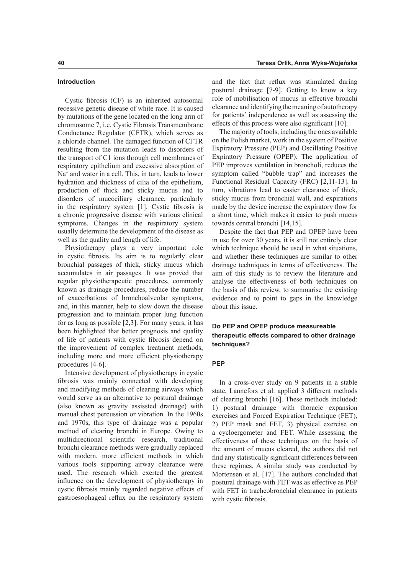## **Introduction**

Cystic fbrosis (CF) is an inherited autosomal recessive genetic disease of white race. It is caused by mutations of the gene located on the long arm of chromosome 7, i.e. Cystic Fibrosis Transmembrane Conductance Regulator (CFTR), which serves as a chloride channel. The damaged function of CFTR resulting from the mutation leads to disorders of the transport of C1 ions through cell membranes of respiratory epithelium and excessive absorption of Na+ and water in a cell. This, in turn, leads to lower hydration and thickness of cilia of the epithelium, production of thick and sticky mucus and to disorders of mucociliary clearance, particularly in the respiratory system [1]. Cystic fbrosis is a chronic progressive disease with various clinical symptoms. Changes in the respiratory system usually determine the development of the disease as well as the quality and length of life.

Physiotherapy plays a very important role in cystic fbrosis. Its aim is to regularly clear bronchial passages of thick, sticky mucus which accumulates in air passages. It was proved that regular physiotherapeutic procedures, commonly known as drainage procedures, reduce the number of exacerbations of bronchoalveolar symptoms, and, in this manner, help to slow down the disease progression and to maintain proper lung function for as long as possible [2,3]. For many years, it has been highlighted that better prognosis and quality of life of patients with cystic fbrosis depend on the improvement of complex treatment methods, including more and more efficient physiotherapy procedures [4-6].

Intensive development of physiotherapy in cystic fbrosis was mainly connected with developing and modifying methods of clearing airways which would serve as an alternative to postural drainage (also known as gravity assissted drainage) with manual chest percussion or vibration. In the 1960s and 1970s, this type of drainage was a popular method of clearing bronchi in Europe. Owing to multidirectional scientifc research, traditional bronchi clearance methods were gradually replaced with modern, more efficient methods in which various tools supporting airway clearance were used. The research which exerted the greatest infuence on the development of physiotherapy in cystic fbrosis mainly regarded negative efects of gastroesophageal refux on the respiratory system

and the fact that refux was stimulated during postural drainage [7-9]. Getting to know a key role of mobilisation of mucus in efective bronchi clearance and identifying the meaning of autotherapy for patients' independence as well as assessing the effects of this process were also significant [10].

The majority of tools, including the ones available on the Polish market, work in the system of Positive Expiratory Pressure (PEP) and Oscillating Positive Expiratory Pressure (OPEP). The application of PEP improves ventilation in broncholi, reduces the symptom called "bubble trap" and increases the Functional Residual Capacity (FRC) [2,11-13]. In turn, vibrations lead to easier clearance of thick, sticky mucus from bronchial wall, and expirations made by the device increase the expiratory fow for a short time, which makes it easier to push mucus towards central bronchi [14,15].

Despite the fact that PEP and OPEP have been in use for over 30 years, it is still not entirely clear which technique should be used in what situations, and whether these techniques are similar to other drainage techniques in terms of efectiveness. The aim of this study is to review the literature and analyse the efectiveness of both techniques on the basis of this review, to summarise the existing evidence and to point to gaps in the knowledge about this issue.

# **Do PEP and OPEP produce measureable therapeutic efects compared to other drainage techniques?**

# **PEP**

In a cross-over study on 9 patients in a stable state, Lannefors et al. applied 3 diferent methods of clearing bronchi [16]. These methods included: 1) postural drainage with thoracic expansion exercises and Forced Expiration Technique (FET), 2) PEP mask and FET, 3) physical exercise on a cycloergometer and FET. While assessing the efectiveness of these techniques on the basis of the amount of mucus cleared, the authors did not fnd any statistically signifcant diferences between these regimes. A similar study was conducted by Mortensen et al. [17]. The authors concluded that postural drainage with FET was as efective as PEP with FET in tracheobronchial clearance in patients with cystic fbrosis.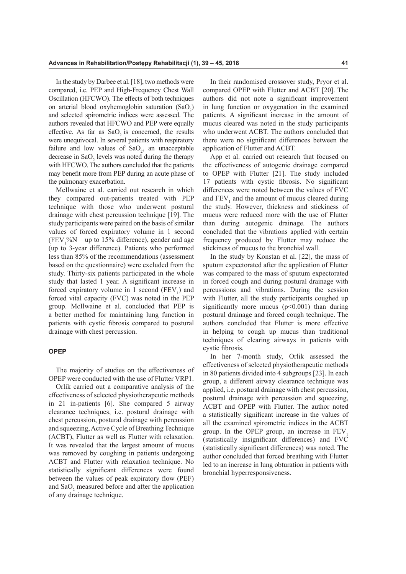In the study by Darbee et al. [18], two methods were compared, i.e. PEP and High-Frequency Chest Wall Oscillation (HFCWO). The effects of both techniques on arterial blood oxyhemoglobin saturation  $(SaO<sub>2</sub>)$ and selected spirometric indices were assessed. The authors revealed that HFCWO and PEP were equally effective. As far as  $SaO<sub>2</sub>$  is concerned, the results were unequivocal. In several patients with respiratory failure and low values of  $SaO<sub>2</sub>$ , an unacceptable decrease in  $\text{SaO}_2$  levels was noted during the therapy with HFCWO. The authors concluded that the patients may beneft more from PEP during an acute phase of the pulmonary exacerbation.

McIlwaine et al. carried out research in which they compared out-patients treated with PEP technique with those who underwent postural drainage with chest percussion technique [19]. The study participants were paired on the basis of similar values of forced expiratory volume in 1 second  $(FEV_1\%N - up to 15\%$  difference), gender and age (up to 3-year diference). Patients who performed less than 85% of the recommendations (assessment based on the questionnaire) were excluded from the study. Thirty-six patients participated in the whole study that lasted 1 year. A signifcant increase in forced expiratory volume in 1 second  $(FEV_1)$  and forced vital capacity (FVC) was noted in the PEP group. McIlwaine et al. concluded that PEP is a better method for maintaining lung function in patients with cystic fbrosis compared to postural drainage with chest percussion.

#### **OPEP**

The majority of studies on the effectiveness of OPEP were conducted with the use of Flutter VRP1.

Orlik carried out a comparative analysis of the efectiveness of selected physiotherapeutic methods in 21 in-patients [6]. She compared 5 airway clearance techniques, i.e. postural drainage with chest percussion, postural drainage with percussion and squeezing, Active Cycle of Breathing Technique (ACBT), Flutter as well as Flutter with relaxation. It was revealed that the largest amount of mucus was removed by coughing in patients undergoing ACBT and Flutter with relaxation technique. No statistically signifcant diferences were found between the values of peak expiratory flow (PEF) and  $SaO_2$  measured before and after the application of any drainage technique.

In their randomised crossover study, Pryor et al. compared OPEP with Flutter and ACBT [20]. The authors did not note a signifcant improvement in lung function or oxygenation in the examined patients. A signifcant increase in the amount of mucus cleared was noted in the study participants who underwent ACBT. The authors concluded that there were no signifcant diferences between the application of Flutter and ACBT.

App et al. carried out research that focused on the efectiveness of autogenic drainage compared to OPEP with Flutter [21]. The study included 17 patients with cystic fbrosis. No signifcant diferences were noted between the values of FVC and  $FEV<sub>1</sub>$  and the amount of mucus cleared during the study. However, thickness and stickiness of mucus were reduced more with the use of Flutter than during autogenic drainage. The authors concluded that the vibrations applied with certain frequency produced by Flutter may reduce the stickiness of mucus to the bronchial wall.

In the study by Konstan et al. [22], the mass of sputum expectorated after the application of Flutter was compared to the mass of sputum expectorated in forced cough and during postural drainage with percussions and vibrations. During the session with Flutter, all the study participants coughed up significantly more mucus  $(p<0.001)$  than during postural drainage and forced cough technique. The authors concluded that Flutter is more efective in helping to cough up mucus than traditional techniques of clearing airways in patients with cystic fbrosis.

In her 7-month study, Orlik assessed the efectiveness of selected physiotherapeutic methods in 80 patients divided into 4 subgroups [23]. In each group, a diferent airway clearance technique was applied, i.e. postural drainage with chest percussion, postural drainage with percussion and squeezing, ACBT and OPEP with Flutter. The author noted a statistically signifcant increase in the values of all the examined spirometric indices in the ACBT group. In the OPEP group, an increase in FEV, (statistically insignifcant diferences) and FVC (statistically signifcant diferences) was noted. The author concluded that forced breathing with Flutter led to an increase in lung obturation in patients with bronchial hyperresponsiveness.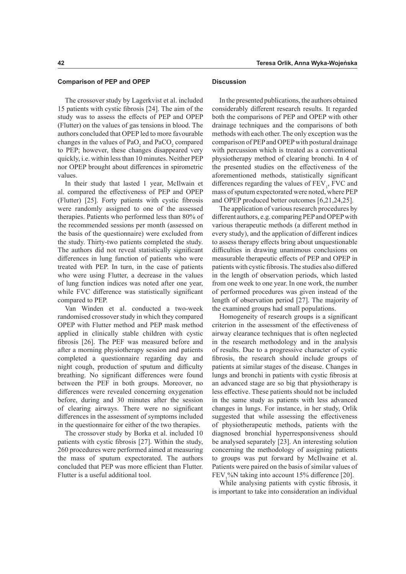The crossover study by Lagerkvist et al. included 15 patients with cystic fbrosis [24]. The aim of the study was to assess the efects of PEP and OPEP (Flutter) on the values of gas tensions in blood. The authors concluded that OPEP led to more favourable changes in the values of  $PaO_2$  and  $PaCO_2$  compared to PEP; however, these changes disappeared very quickly, i.e. within less than 10 minutes. Neither PEP nor OPEP brought about diferences in spirometric values.

In their study that lasted 1 year, McIlwain et al. compared the efectiveness of PEP and OPEP (Flutter) [25]. Forty patients with cystic fbrosis were randomly assigned to one of the assessed therapies. Patients who performed less than 80% of the recommended sessions per month (assessed on the basis of the questionnaire) were excluded from the study. Thirty-two patients completed the study. The authors did not reveal statistically signifcant diferences in lung function of patients who were treated with PEP. In turn, in the case of patients who were using Flutter, a decrease in the values of lung function indices was noted after one year, while FVC diference was statistically signifcant compared to PEP.

Van Winden et al. conducted a two-week randomised crossover study in which they compared OPEP with Flutter method and PEP mask method applied in clinically stable children with cystic fbrosis [26]. The PEF was measured before and after a morning physiotherapy session and patients completed a questionnaire regarding day and night cough, production of sputum and difficulty breathing. No signifcant diferences were found between the PEF in both groups. Moreover, no diferences were revealed concerning oxygenation before, during and 30 minutes after the session of clearing airways. There were no signifcant diferences in the assessment of symptoms included in the questionnaire for either of the two therapies.

The crossover study by Borka et al. included 10 patients with cystic fbrosis [27]. Within the study, 260 procedures were performed aimed at measuring the mass of sputum expectorated. The authors concluded that PEP was more efficient than Flutter. Flutter is a useful additional tool.

#### **Discussion**

In the presented publications, the authors obtained considerably diferent research results. It regarded both the comparisons of PEP and OPEP with other drainage techniques and the comparisons of both methods with each other. The only exception was the comparison of PEP and OPEP with postural drainage with percussion which is treated as a conventional physiotherapy method of clearing bronchi. In 4 of the presented studies on the efectiveness of the aforementioned methods, statistically signifcant differences regarding the values of  $FEV<sub>1</sub>$ , FVC and mass of sputum expectorated were noted, where PEP and OPEP produced better outcomes [6,21,24,25].

The application of various research procedures by diferent authors, e.g. comparing PEP and OPEP with various therapeutic methods (a diferent method in every study), and the application of diferent indices to assess therapy efects bring about unquestionable difficulties in drawing unanimous conclusions on measurable therapeutic efects of PEP and OPEP in patients with cystic fbrosis. The studies also difered in the length of observation periods, which lasted from one week to one year. In one work, the number of performed procedures was given instead of the length of observation period [27]. The majority of the examined groups had small populations.

Homogeneity of research groups is a signifcant criterion in the assessment of the efectiveness of airway clearance techniques that is often neglected in the research methodology and in the analysis of results. Due to a progressive character of cystic fbrosis, the research should include groups of patients at similar stages of the disease. Changes in lungs and bronchi in patients with cystic fbrosis at an advanced stage are so big that physiotherapy is less efective. These patients should not be included in the same study as patients with less advanced changes in lungs. For instance, in her study, Orlik suggested that while assessing the effectiveness of physiotherapeutic methods, patients with the diagnosed bronchial hyperresponsiveness should be analysed separately [23]. An interesting solution concerning the methodology of assigning patients to groups was put forward by McIlwaine et al. Patients were paired on the basis of similar values of  $FEV<sub>1</sub><sup>o</sup>%N taking into account 15% difference [20].$ 

While analysing patients with cystic fbrosis, it is important to take into consideration an individual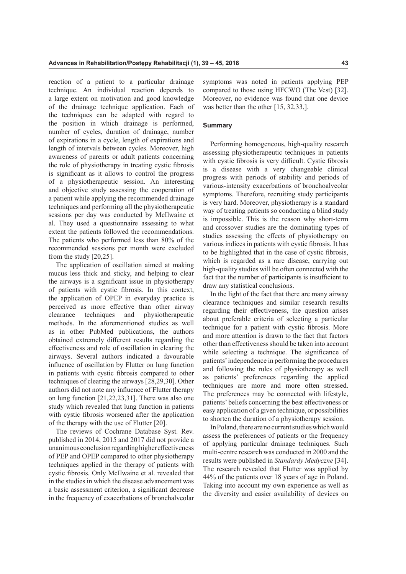reaction of a patient to a particular drainage technique. An individual reaction depends to a large extent on motivation and good knowledge of the drainage technique application. Each of the techniques can be adapted with regard to the position in which drainage is performed, number of cycles, duration of drainage, number of expirations in a cycle, length of expirations and length of intervals between cycles. Moreover, high awareness of parents or adult patients concerning the role of physiotherapy in treating cystic fbrosis is signifcant as it allows to control the progress of a physiotherapeutic session. An interesting and objective study assessing the cooperation of a patient while applying the recommended drainage techniques and performing all the physiotherapeutic sessions per day was conducted by McIlwaine et al. They used a questionnaire assessing to what extent the patients followed the recommendations. The patients who performed less than 80% of the recommended sessions per month were excluded from the study [20,25].

The application of oscillation aimed at making mucus less thick and sticky, and helping to clear the airways is a signifcant issue in physiotherapy of patients with cystic fbrosis. In this context, the application of OPEP in everyday practice is perceived as more efective than other airway clearance techniques and physiotherapeutic methods. In the aforementioned studies as well as in other PubMed publications, the authors obtained extremely diferent results regarding the efectiveness and role of oscillation in clearing the airways. Several authors indicated a favourable infuence of oscillation by Flutter on lung function in patients with cystic fbrosis compared to other techniques of clearing the airways [28,29,30]. Other authors did not note any infuence of Flutter therapy on lung function [21,22,23,31]. There was also one study which revealed that lung function in patients with cystic fibrosis worsened after the application of the therapy with the use of Flutter [20].

The reviews of Cochrane Database Syst. Rev. published in 2014, 2015 and 2017 did not provide a unanimous conclusion regarding higher effectiveness of PEP and OPEP compared to other physiotherapy techniques applied in the therapy of patients with cystic fbrosis. Only McIlwaine et al. revealed that in the studies in which the disease advancement was a basic assessment criterion, a signifcant decrease in the frequency of exacerbations of bronchalveolar symptoms was noted in patients applying PEP compared to those using HFCWO (The Vest) [32]. Moreover, no evidence was found that one device was better than the other [15, 32, 33,].

### **Summary**

Performing homogeneous, high-quality research assessing physiotherapeutic techniques in patients with cystic fibrosis is very difficult. Cystic fibrosis is a disease with a very changeable clinical progress with periods of stability and periods of various-intensity exacerbations of bronchoalveolar symptoms. Therefore, recruiting study participants is very hard. Moreover, physiotherapy is a standard way of treating patients so conducting a blind study is impossible. This is the reason why short-term and crossover studies are the dominating types of studies assessing the efects of physiotherapy on various indices in patients with cystic fbrosis. It has to be highlighted that in the case of cystic fbrosis, which is regarded as a rare disease, carrying out high-quality studies will be often connected with the fact that the number of participants is insufficient to draw any statistical conclusions.

In the light of the fact that there are many airway clearance techniques and similar research results regarding their efectiveness, the question arises about preferable criteria of selecting a particular technique for a patient with cystic fbrosis. More and more attention is drawn to the fact that factors other than efectiveness should be taken into account while selecting a technique. The signifcance of patients' independence in performing the procedures and following the rules of physiotherapy as well as patients' preferences regarding the applied techniques are more and more often stressed. The preferences may be connected with lifestyle, patients' beliefs concerning the best efectiveness or easy application of a given technique, or possibilities to shorten the duration of a physiotherapy session.

In Poland, there are no current studies which would assess the preferences of patients or the frequency of applying particular drainage techniques. Such multi-centre research was conducted in 2000 and the results were published in *Standardy Medyczne* [34]. The research revealed that Flutter was applied by 44% of the patients over 18 years of age in Poland. Taking into account my own experience as well as the diversity and easier availability of devices on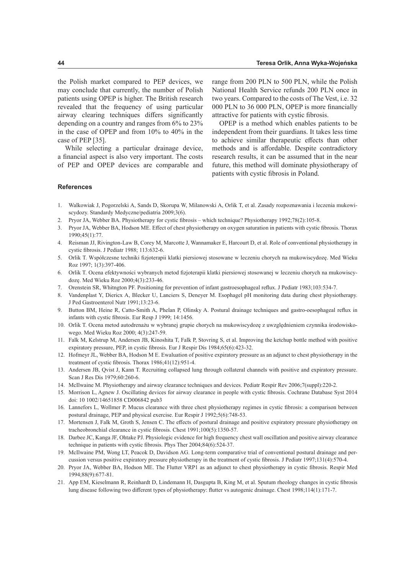the Polish market compared to PEP devices, we may conclude that currently, the number of Polish patients using OPEP is higher. The British research revealed that the frequency of using particular airway clearing techniques difers signifcantly depending on a country and ranges from 6% to 23% in the case of OPEP and from 10% to 40% in the case of PEP [35].

While selecting a particular drainage device, a fnancial aspect is also very important. The costs of PEP and OPEP devices are comparable and

range from 200 PLN to 500 PLN, while the Polish National Health Service refunds 200 PLN once in two years. Compared to the costs of The Vest, i.e. 32 000 PLN to 36 000 PLN, OPEP is more fnancially attractive for patients with cystic fbrosis.

OPEP is a method which enables patients to be independent from their guardians. It takes less time to achieve similar therapeutic efects than other methods and is afordable. Despite contradictory research results, it can be assumed that in the near future, this method will dominate physiotherapy of patients with cystic fbrosis in Poland.

#### **References**

- 1. Walkowiak J, Pogorzelski A, Sands D, Skorupa W, Milanowski A, Orlik T, et al. Zasady rozpoznawania i leczenia mukowiscydozy. Standardy Medyczne/pediatria 2009;3(6).
- 2. Pryor JA, Webber BA. Physiotherapy for cystic fbrosis which technique? Physiotherapy 1992;78(2):105-8.
- 3. Pryor JA, Webber BA, Hodson ME. Efect of chest physiotherapy on oxygen saturation in patients with cystic fbrosis. Thorax 1990;45(1):77.
- 4. Reisman JJ, Rivington-Law B, Corey M, Marcotte J, Wannamaker E, Harcourt D, et al. Role of conventional physiotherapy in cystic fbrosis. J Pediatr 1988; 113:632-6.
- 5. Orlik T. Współczesne techniki fzjoterapii klatki piersiowej stosowane w leczeniu chorych na mukowiscydozę. Med Wieku Roz 1997; 1(3):397-406.
- 6. Orlik T. Ocena efektywności wybranych metod fzjoterapii klatki piersiowej stosowanej w leczeniu chorych na mukowiscydozę. Med Wieku Roz 2000;4(3):233-46.
- 7. Orenstein SR, Whitngton PF. Positioning for prevention of infant gastroesophageal refux. J Pediatr 1983;103:534-7.
- 8. Vandenplast Y, Diericx A, Blecker U, Lanciers S, Deneyer M. Esophagel pH monitoring data during chest physiotherapy. J Ped Gastroenterol Nutr 1991;13:23-6.
- 9. Button BM, Heine R, Catto-Smith A, Phelan P, Olinsky A. Postural drainage techniques and gastro-oesophageal refux in infants with cystic fbrosis. Eur Resp J 1999; 14:1456.
- 10. Orlik T. Ocena metod autodrenażu w wybranej grupie chorych na mukowiscydozę z uwzględnieniem czynnika środowiskowego. Med Wieku Roz 2000; 4(3):247-59.
- 11. Falk M, Kelstrup M, Andersen JB, Kinoshita T, Falk P, Stovring S, et al. Improving the ketchup bottle method with positive expiratory pressure, PEP, in cystic fbrosis. Eur J Respir Dis 1984;65(6):423-32.
- 12. Hofmeyr JL, Webber BA, Hodson M E. Ewaluation of positive expiratory pressure as an adjunct to chest physiotherapy in the treatment of cystic fbrosis. Thorax 1986;41(12):951-4.
- 13. Andersen JB, Qvist J, Kann T. Recruiting collapsed lung through collateral channels with positive and expiratory pressure. Scan J Res Dis 1979;60:260-6.
- 14. McIlwaine M. Physiotherapy and airway clearance techniques and devices. Pediatr Respir Rev 2006;7(suppl):220-2.
- 15. Morrison L, Agnew J. Oscillating devices for airway clearance in people with cystic fbrosis. Cochrane Database Syst 2014 doi: 10 1002/14651858 CD006842 pub3
- 16. Lannefors L, Wollmer P. Mucus clearance with three chest physiotherapy regimes in cystic fbrosis: a comparison between postural drainage, PEP and physical exercise. Eur Respir J 1992;5(6):748-53.
- 17. Mortensen J, Falk M, Groth S, Jensen C. The efects of postural drainage and positive expiratory pressure physiotherapy on tracheobronchial clearance in cystic fbrosis. Chest 1991;100(5):1350-57.
- 18. Darbee JC, Kanga JF, Ohtake PJ. Physiologic evidence for high frequency chest wall oscillation and positive airway clearance technique in patients with cystic fbrosis. Phys Ther 2004;84(6):524-37.
- 19. McIlwaine PM, Wong LT, Peacok D, Davidson AG. Long-term comparative trial of conventional postural drainage and percussion versus positive expiratory pressure physiotherapy in the treatment of cystic fbrosis. J Pediatr 1997;131(4):570-4.
- 20. Pryor JA, Webber BA, Hodson ME. The Flutter VRP1 as an adjunct to chest physiotherapy in cystic fbrosis. Respir Med 1994;88(9):677-81.
- 21. App EM, Kieselmann R, Reinhardt D, Lindemann H, Dasgupta B, King M, et al. Sputum rheology changes in cystic fbrosis lung disease following two diferent types of physiotherapy: futter vs autogenic drainage. Chest 1998;114(1):171-7.